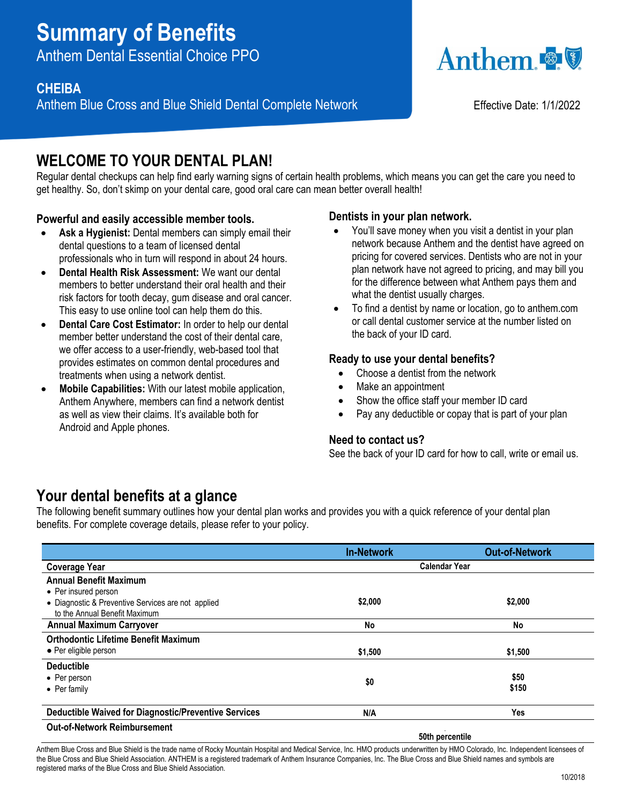# **Summary of Benefits**

Anthem Dental Essential Choice PPO

### **CHEIBA**

Anthem Blue Cross and Blue Shield Dental Complete Network Effective Date: 1/1/2022



## WELCOME TO YOUR DENTAL PLAN!

Regular dental checkups can help find early warning signs of certain health problems, which means you can get the care you need to get healthy. So, don't skimp on your dental care, good oral care can mean better overall health!

#### **Powerful and easily accessible member tools.**

- **Ask a Hygienist:** Dental members can simply email their dental questions to a team of licensed dental professionals who in turn will respond in about 24 hours.
- **Dental Health Risk Assessment:** We want our dental members to better understand their oral health and their risk factors for tooth decay, gum disease and oral cancer. This easy to use online tool can help them do this.
- **Dental Care Cost Estimator:** In order to help our dental member better understand the cost of their dental care, we offer access to a user-friendly, web-based tool that provides estimates on common dental procedures and treatments when using a network dentist.
- **Mobile Capabilities:** With our latest mobile application, Anthem Anywhere, members can find a network dentist as well as view their claims. It's available both for Android and Apple phones.

#### **Dentists in your plan network.**

- You'll save money when you visit a dentist in your plan network because Anthem and the dentist have agreed on pricing for covered services. Dentists who are not in your plan network have not agreed to pricing, and may bill you for the difference between what Anthem pays them and what the dentist usually charges.
- To find a dentist by name or location, go to anthem.com or call dental customer service at the number listed on the back of your ID card.

#### **Ready to use your dental benefits?**

- Choose a dentist from the network
- Make an appointment
- Show the office staff your member ID card
- Pay any deductible or copay that is part of your plan

#### **Need to contact us?**

See the back of your ID card for how to call, write or email us.

## **Your dental benefits at a glance**

The following benefit summary outlines how your dental plan works and provides you with a quick reference of your dental plan benefits. For complete coverage details, please refer to your policy.

|                                                                                     | <b>In-Network</b>    | <b>Out-of-Network</b> |
|-------------------------------------------------------------------------------------|----------------------|-----------------------|
| <b>Coverage Year</b>                                                                | <b>Calendar Year</b> |                       |
| <b>Annual Benefit Maximum</b>                                                       |                      |                       |
| • Per insured person                                                                |                      |                       |
| • Diagnostic & Preventive Services are not applied<br>to the Annual Benefit Maximum | \$2,000              | \$2,000               |
| <b>Annual Maximum Carryover</b>                                                     | No                   | No                    |
| <b>Orthodontic Lifetime Benefit Maximum</b>                                         |                      |                       |
| • Per eligible person                                                               | \$1,500              | \$1,500               |
| <b>Deductible</b>                                                                   |                      |                       |
| • Per person                                                                        | \$0                  | \$50                  |
| $\bullet$ Per family                                                                |                      | \$150                 |
| <b>Deductible Waived for Diagnostic/Preventive Services</b>                         | N/A                  | Yes                   |
| <b>Out-of-Network Reimbursement</b>                                                 |                      |                       |

**50th percentile**

Anthem Blue Cross and Blue Shield is the trade name of Rocky Mountain Hospital and Medical Service, Inc. HMO products underwritten by HMO Colorado, Inc. Independent licensees of the Blue Cross and Blue Shield Association. ANTHEM is a registered trademark of Anthem Insurance Companies, Inc. The Blue Cross and Blue Shield names and symbols are registered marks of the Blue Cross and Blue Shield Association.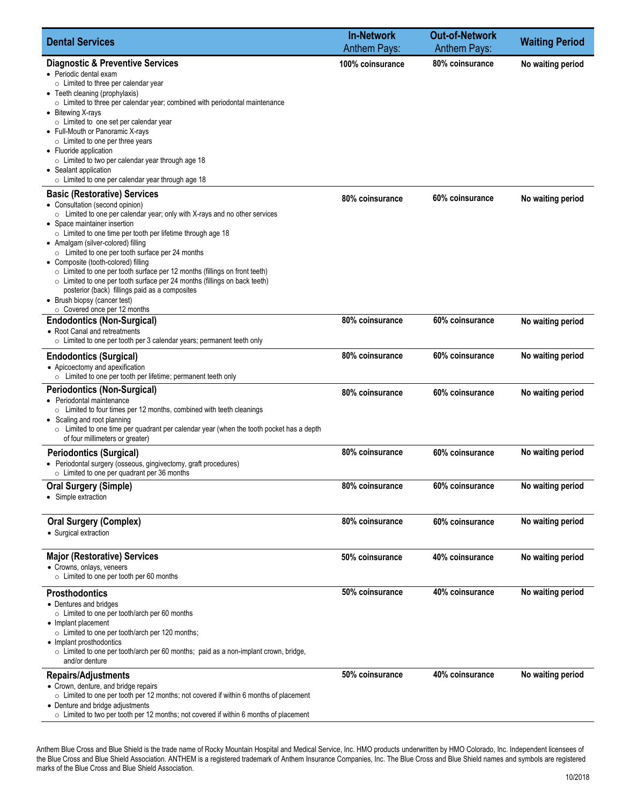| <b>Dental Services</b>                                                                                                                                                                                                                                                                                                                                                                                                                                                                                                                                                                                                                                                                    | <b>In-Network</b><br><b>Anthem Pays:</b> | <b>Out-of-Network</b><br><b>Anthem Pays:</b> | <b>Waiting Period</b> |
|-------------------------------------------------------------------------------------------------------------------------------------------------------------------------------------------------------------------------------------------------------------------------------------------------------------------------------------------------------------------------------------------------------------------------------------------------------------------------------------------------------------------------------------------------------------------------------------------------------------------------------------------------------------------------------------------|------------------------------------------|----------------------------------------------|-----------------------|
| <b>Diagnostic &amp; Preventive Services</b><br>• Periodic dental exam<br>$\circ$ Limited to three per calendar year<br>• Teeth cleaning (prophylaxis)<br>$\circ$ Limited to three per calendar year; combined with periodontal maintenance<br>• Bitewing X-rays<br>$\circ$ Limited to one set per calendar year<br>• Full-Mouth or Panoramic X-rays<br>$\circ$ Limited to one per three years<br>• Fluoride application<br>$\circ$ Limited to two per calendar year through age 18<br>• Sealant application<br>$\circ$ Limited to one per calendar year through age 18                                                                                                                    | 100% coinsurance                         | 80% coinsurance                              | No waiting period     |
| <b>Basic (Restorative) Services</b><br>• Consultation (second opinion)<br>$\circ$ Limited to one per calendar year; only with X-rays and no other services<br>• Space maintainer insertion<br>$\circ$ Limited to one time per tooth per lifetime through age 18<br>• Amalgam (silver-colored) filling<br>$\circ$ Limited to one per tooth surface per 24 months<br>• Composite (tooth-colored) filling<br>○ Limited to one per tooth surface per 12 months (fillings on front teeth)<br>$\circ$ Limited to one per tooth surface per 24 months (fillings on back teeth)<br>posterior (back) fillings paid as a composites<br>• Brush biopsy (cancer test)<br>○ Covered once per 12 months | 80% coinsurance                          | 60% coinsurance                              | No waiting period     |
| <b>Endodontics (Non-Surgical)</b><br>• Root Canal and retreatments<br>$\circ$ Limited to one per tooth per 3 calendar years; permanent teeth only                                                                                                                                                                                                                                                                                                                                                                                                                                                                                                                                         | 80% coinsurance                          | 60% coinsurance                              | No waiting period     |
| <b>Endodontics (Surgical)</b><br>• Apicoectomy and apexification<br>$\circ$ Limited to one per tooth per lifetime; permanent teeth only                                                                                                                                                                                                                                                                                                                                                                                                                                                                                                                                                   | 80% coinsurance                          | 60% coinsurance                              | No waiting period     |
| <b>Periodontics (Non-Surgical)</b><br>• Periodontal maintenance<br>$\circ$ Limited to four times per 12 months, combined with teeth cleanings<br>• Scaling and root planning<br>$\circ$ Limited to one time per quadrant per calendar year (when the tooth pocket has a depth<br>of four millimeters or greater)                                                                                                                                                                                                                                                                                                                                                                          | 80% coinsurance                          | 60% coinsurance                              | No waiting period     |
| <b>Periodontics (Surgical)</b><br>• Periodontal surgery (osseous, gingivectomy, graft procedures)<br>$\circ$ Limited to one per quadrant per 36 months                                                                                                                                                                                                                                                                                                                                                                                                                                                                                                                                    | 80% coinsurance                          | 60% coinsurance                              | No waiting period     |
| <b>Oral Surgery (Simple)</b><br>• Simple extraction                                                                                                                                                                                                                                                                                                                                                                                                                                                                                                                                                                                                                                       | 80% coinsurance                          | 60% coinsurance                              | No waiting period     |
| <b>Oral Surgery (Complex)</b><br>• Surgical extraction                                                                                                                                                                                                                                                                                                                                                                                                                                                                                                                                                                                                                                    | 80% coinsurance                          | 60% coinsurance                              | No waiting period     |
| <b>Major (Restorative) Services</b><br>• Crowns, onlays, veneers<br>$\circ$ Limited to one per tooth per 60 months                                                                                                                                                                                                                                                                                                                                                                                                                                                                                                                                                                        | 50% coinsurance                          | 40% coinsurance                              | No waiting period     |
| <b>Prosthodontics</b><br>• Dentures and bridges<br>$\circ$ Limited to one per tooth/arch per 60 months<br>• Implant placement<br>$\circ$ Limited to one per tooth/arch per 120 months;<br>• Implant prosthodontics<br>$\circ$ Limited to one per tooth/arch per 60 months; paid as a non-implant crown, bridge,<br>and/or denture                                                                                                                                                                                                                                                                                                                                                         | 50% coinsurance                          | 40% coinsurance                              | No waiting period     |
| <b>Repairs/Adjustments</b><br>• Crown, denture, and bridge repairs<br>$\circ$ Limited to one per tooth per 12 months; not covered if within 6 months of placement<br>• Denture and bridge adjustments<br>$\circ$ Limited to two per tooth per 12 months; not covered if within 6 months of placement                                                                                                                                                                                                                                                                                                                                                                                      | 50% coinsurance                          | 40% coinsurance                              | No waiting period     |

Anthem Blue Cross and Blue Shield is the trade name of Rocky Mountain Hospital and Medical Service, Inc. HMO products underwritten by HMO Colorado, Inc. Independent licensees of the Blue Cross and Blue Shield Association. ANTHEM is a registered trademark of Anthem Insurance Companies, Inc. The Blue Cross and Blue Shield names and symbols are registered marks of the Blue Cross and Blue Shield Association.